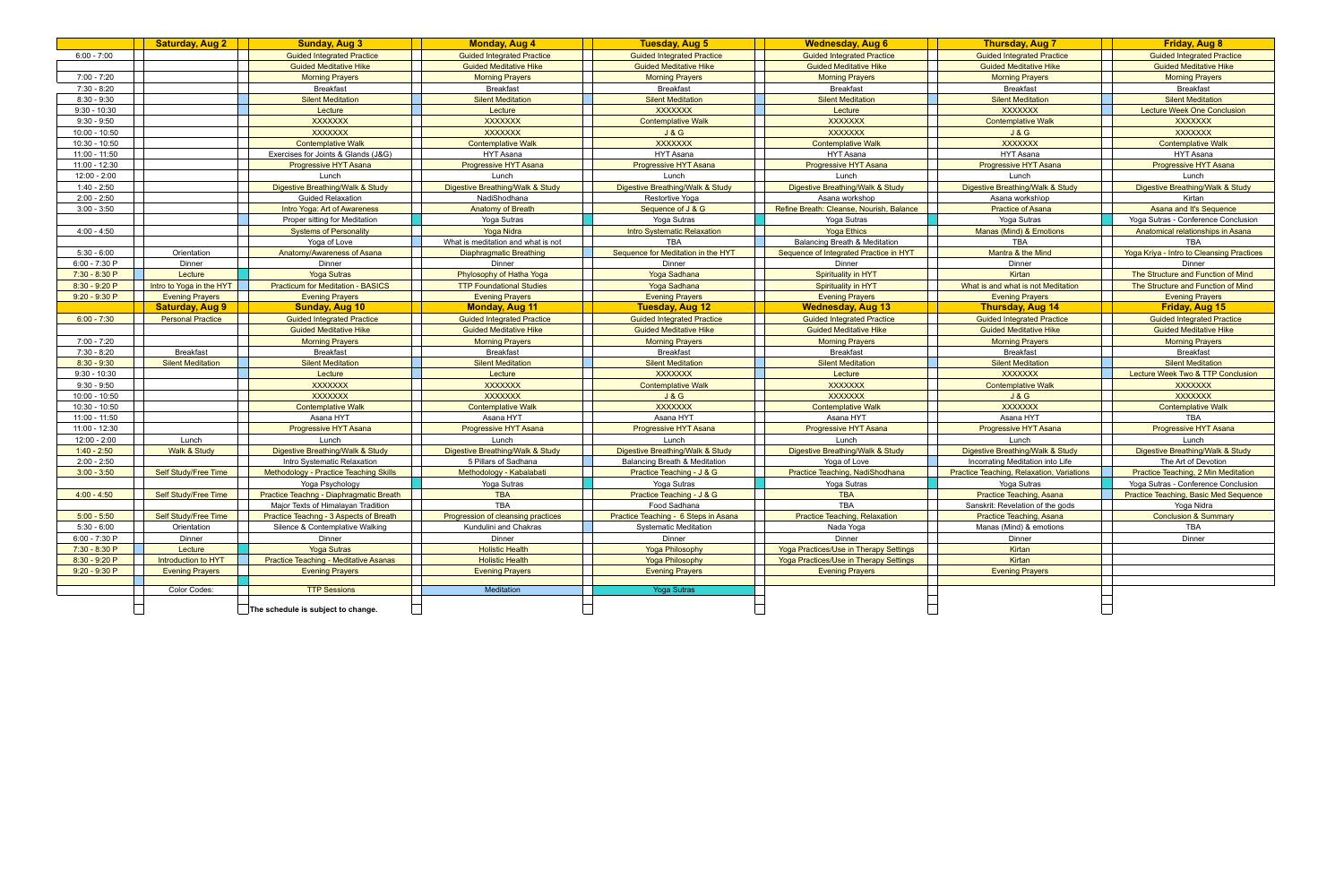|                 | <b>Saturday, Aug 2</b>   | <b>Sunday, Aug 3</b>                         | <b>Monday, Aug 4</b>               | <b>Tuesday, Aug 5</b>                | <b>Wednesday, Aug 6</b>                  | <b>Thursday, Aug 7</b>                    | <b>Friday, Aug 8</b>                      |
|-----------------|--------------------------|----------------------------------------------|------------------------------------|--------------------------------------|------------------------------------------|-------------------------------------------|-------------------------------------------|
| $6:00 - 7:00$   |                          | <b>Guided Integrated Practice</b>            | <b>Guided Integrated Practice</b>  | <b>Guided Integrated Practice</b>    | <b>Guided Integrated Practice</b>        | <b>Guided Integrated Practice</b>         | <b>Guided Integrated Practice</b>         |
|                 |                          | <b>Guided Meditative Hike</b>                | <b>Guided Meditative Hike</b>      | <b>Guided Meditative Hike</b>        | <b>Guided Meditative Hike</b>            | <b>Guided Meditative Hike</b>             | <b>Guided Meditative Hike</b>             |
| $7:00 - 7:20$   |                          | <b>Morning Prayers</b>                       | <b>Morning Prayers</b>             | <b>Morning Prayers</b>               | <b>Morning Prayers</b>                   | <b>Morning Prayers</b>                    | <b>Morning Prayers</b>                    |
| $7:30 - 8:20$   |                          | <b>Breakfast</b>                             | <b>Breakfast</b>                   | <b>Breakfast</b>                     | <b>Breakfast</b>                         | <b>Breakfast</b>                          | <b>Breakfast</b>                          |
| $8:30 - 9:30$   |                          | <b>Silent Meditation</b>                     | <b>Silent Meditation</b>           | <b>Silent Meditation</b>             | <b>Silent Meditation</b>                 | <b>Silent Meditation</b>                  | <b>Silent Meditation</b>                  |
| $9:30 - 10:30$  |                          | Lecture                                      | Lecture                            | <b>XXXXXXX</b>                       | Lecture                                  | <b>XXXXXXX</b>                            | <b>Lecture Week One Conclusion</b>        |
| $9:30 - 9:50$   |                          | <b>XXXXXXX</b>                               | <b>XXXXXXX</b>                     | <b>Contemplative Walk</b>            | <b>XXXXXXX</b>                           | <b>Contemplative Walk</b>                 | <b>XXXXXXX</b>                            |
| $10:00 - 10:50$ |                          | <b>XXXXXXX</b>                               | <b>XXXXXXX</b>                     | J & G                                | XXXXXXX                                  | <b>J&amp;G</b>                            | <b>XXXXXXX</b>                            |
| 10:30 - 10:50   |                          | <b>Contemplative Walk</b>                    | <b>Contemplative Walk</b>          | <b>XXXXXXX</b>                       | <b>Contemplative Walk</b>                | <b>XXXXXXX</b>                            | <b>Contemplative Walk</b>                 |
| 11:00 - 11:50   |                          | Exercises for Joints & Glands (J&G)          | <b>HYT Asana</b>                   | HYT Asana                            | <b>HYT Asana</b>                         | <b>HYT Asana</b>                          | <b>HYT Asana</b>                          |
| 11:00 - 12:30   |                          | <b>Progressive HYT Asana</b>                 | <b>Progressive HYT Asana</b>       | Progressive HYT Asana                | <b>Progressive HYT Asana</b>             | <b>Progressive HYT Asana</b>              | <b>Progressive HYT Asana</b>              |
| $12:00 - 2:00$  |                          | Lunch                                        | Lunch                              | Lunch                                | Lunch                                    | Lunch                                     | Lunch                                     |
| $1:40 - 2:50$   |                          | Digestive Breathing/Walk & Study             | Digestive Breathing/Walk & Study   | Digestive Breathing/Walk & Study     | Digestive Breathing/Walk & Study         | Digestive Breathing/Walk & Study          | Digestive Breathing/Walk & Study          |
| $2:00 - 2:50$   |                          | <b>Guided Relaxation</b>                     | NadiShodhana                       | Restortive Yoga                      | Asana workshop                           | Asana worksh\op                           | Kirtan                                    |
| $3:00 - 3:50$   |                          | Intro Yoga: Art of Awareness                 | <b>Anatomy of Breath</b>           | Sequence of J & G                    | Refine Breath: Cleanse, Nourish, Balance | <b>Practice of Asana</b>                  | Asana and It's Sequence                   |
|                 |                          | Proper sitting for Meditation                | Yoga Sutras                        | Yoga Sutras                          | Yoga Sutras                              | Yoga Sutras                               | Yoga Sutras - Conference Conclusion       |
| $4:00 - 4:50$   |                          | <b>Systems of Personality</b>                | <b>Yoga Nidra</b>                  | <b>Intro Systematic Relaxation</b>   | <b>Yoga Ethics</b>                       | Manas (Mind) & Emotions                   | Anatomical relationships in Asana         |
|                 |                          | Yoga of Love                                 | What is meditation and what is not | <b>TBA</b>                           | Balancing Breath & Meditation            | <b>TBA</b>                                | <b>TBA</b>                                |
| $5:30 - 6:00$   | Orientation              | Anatomy/Awareness of Asana                   | Diaphragmatic Breathing            | Sequence for Meditation in the HYT   | Sequence of Integrated Practice in HYT   | Mantra & the Mind                         | Yoga Kriya - Intro to Cleansing Practices |
| 6:00 - 7:30 P   | Dinner                   | Dinner                                       | Dinner                             | Dinner                               | Dinner                                   | Dinner                                    | Dinner                                    |
| 7:30 - 8:30 P   | Lecture                  | <b>Yoga Sutras</b>                           | Phylosophy of Hatha Yoga           | Yoga Sadhana                         | Spirituality in HYT                      | Kirtan                                    | The Structure and Function of Mind        |
| 8:30 - 9:20 P   | Intro to Yoga in the HYT | <b>Practicum for Meditation - BASICS</b>     | <b>TTP Foundational Studies</b>    | Yoga Sadhana                         | <b>Spirituality in HYT</b>               | What is and what is not Meditation        | The Structure and Function of Mind        |
| $9:20 - 9:30 P$ | <b>Evening Prayers</b>   | <b>Evening Prayers</b>                       | <b>Evening Prayers</b>             | <b>Evening Prayers</b>               | <b>Evening Prayers</b>                   | <b>Evening Prayers</b>                    | <b>Evening Prayers</b>                    |
|                 | <b>Saturday, Aug 9</b>   | <b>Sunday, Aug 10</b>                        | <b>Monday, Aug 11</b>              | <b>Tuesday, Aug 12</b>               | <b>Wednesday, Aug 13</b>                 | <b>Thursday, Aug 14</b>                   | <b>Friday, Aug 15</b>                     |
| $6:00 - 7:30$   | <b>Personal Practice</b> | <b>Guided Integrated Practice</b>            | <b>Guided Integrated Practice</b>  | <b>Guided Integrated Practice</b>    | <b>Guided Integrated Practice</b>        | <b>Guided Integrated Practice</b>         | <b>Guided Integrated Practice</b>         |
|                 |                          | <b>Guided Meditative Hike</b>                | <b>Guided Meditative Hike</b>      | <b>Guided Meditative Hike</b>        | <b>Guided Meditative Hike</b>            | <b>Guided Meditative Hike</b>             | <b>Guided Meditative Hike</b>             |
| 7:00 - 7:20     |                          | <b>Morning Prayers</b>                       | <b>Morning Prayers</b>             | <b>Morning Prayers</b>               | <b>Morning Prayers</b>                   | <b>Morning Prayers</b>                    | <b>Morning Prayers</b>                    |
| 7:30 - 8:20     | <b>Breakfast</b>         | <b>Breakfast</b>                             | <b>Breakfast</b>                   | <b>Breakfast</b>                     | <b>Breakfast</b>                         | <b>Breakfast</b>                          | <b>Breakfast</b>                          |
| $8:30 - 9:30$   | <b>Silent Meditation</b> | <b>Silent Meditation</b>                     | <b>Silent Meditation</b>           | <b>Silent Meditation</b>             | <b>Silent Meditation</b>                 | <b>Silent Meditation</b>                  | <b>Silent Meditation</b>                  |
| $9:30 - 10:30$  |                          | Lecture                                      | Lecture                            | <b>XXXXXXX</b>                       | Lecture                                  | <b>XXXXXXX</b>                            | Lecture Week Two & TTP Conclusion         |
| $9:30 - 9:50$   |                          | <b>XXXXXXX</b>                               | <b>XXXXXXX</b>                     | <b>Contemplative Walk</b>            | <b>XXXXXXX</b>                           | <b>Contemplative Walk</b>                 | <b>XXXXXXX</b>                            |
| $10:00 - 10:50$ |                          | <b>XXXXXXX</b>                               | <b>XXXXXXX</b>                     | J & G                                | <b>XXXXXXX</b>                           | J & G                                     | <b>XXXXXXX</b>                            |
| $10:30 - 10:50$ |                          | <b>Contemplative Walk</b>                    | <b>Contemplative Walk</b>          | <b>XXXXXXX</b>                       | <b>Contemplative Walk</b>                | XXXXXXX                                   | <b>Contemplative Walk</b>                 |
| 11:00 - 11:50   |                          | Asana HYT                                    | Asana HYT                          | Asana HYT                            | Asana HYT                                | Asana HYT                                 | <b>TBA</b>                                |
| 11:00 - 12:30   |                          | Progressive HYT Asana                        | Progressive HYT Asana              | Progressive HYT Asana                | Progressive HYT Asana                    | Progressive HYT Asana                     | Progressive HYT Asana                     |
| $12:00 - 2:00$  | Lunch                    | Lunch                                        | Lunch                              | Lunch                                | Lunch                                    | Lunch                                     | Lunch                                     |
| $1:40 - 2:50$   | <b>Walk &amp; Study</b>  | Digestive Breathing/Walk & Study             | Digestive Breathing/Walk & Study   | Digestive Breathing/Walk & Study     | Digestive Breathing/Walk & Study         | Digestive Breathing/Walk & Study          | Digestive Breathing/Walk & Study          |
| $2:00 - 2:50$   |                          | Intro Systematic Relaxation                  | 5 Pillars of Sadhana               | Balancing Breath & Meditation        | Yoga of Love                             | Incorrating Meditation into Life          | The Art of Devotion                       |
| $3:00 - 3:50$   | Self Study/Free Time     | Methodology - Practice Teaching Skills       | Methodology - Kabalabati           | Practice Teaching - J & G            | Practice Teaching, NadiShodhana          | Practice Teaching, Relaxation, Variations | Practice Teaching, 2 Min Meditation       |
|                 |                          | Yoga Psychology                              | Yoga Sutras                        | Yoga Sutras                          | Yoga Sutras                              | Yoga Sutras                               | Yoga Sutras - Conference Conclusion       |
| $4:00 - 4:50$   | Self Study/Free Time     | Practice Teachng - Diaphragmatic Breath      | <b>TBA</b>                         | Practice Teaching - J & G            | <b>TBA</b>                               | Practice Teaching, Asana                  | Practice Teaching, Basic Med Sequence     |
|                 |                          | Major Texts of Himalayan Tradition           | TBA                                | Food Sadhana                         | <b>TBA</b>                               | Sanskrit: Revelation of the gods          | Yoga Nidra                                |
| $5:00 - 5:50$   | Self Study/Free Time     | Practice Teachng - 3 Aspects of Breath       | Progression of cleansing practices | Practice Teaching - 6 Steps in Asana | <b>Practice Teaching, Relaxation</b>     | <b>Practice Teaching, Asana</b>           | <b>Conclusion &amp; Summary</b>           |
| $5:30 - 6:00$   | Orientation              | Silence & Contemplative Walking              | Kundulini and Chakras              | <b>Systematic Meditation</b>         | Nada Yoga                                | Manas (Mind) & emotions                   | TBA                                       |
| 6:00 - 7:30 P   | Dinner                   | Dinner                                       | Dinner                             | Dinner                               | Dinner                                   | Dinner                                    | Dinner                                    |
| 7:30 - 8:30 P   | Lecture                  | <b>Yoga Sutras</b>                           | <b>Holistic Health</b>             | <b>Yoga Philosophy</b>               | Yoga Practices/Use in Therapy Settings   | Kirtan                                    |                                           |
| 8:30 - 9:20 P   | Introduction to HYT      | <b>Practice Teaching - Meditative Asanas</b> | <b>Holistic Health</b>             | Yoga Philosophy                      | Yoga Practices/Use in Therapy Settings   | Kirtan                                    |                                           |
| $9:20 - 9:30 P$ | <b>Evening Prayers</b>   | <b>Evening Prayers</b>                       | <b>Evening Prayers</b>             | <b>Evening Prayers</b>               | <b>Evening Prayers</b>                   | <b>Evening Prayers</b>                    |                                           |
|                 | Color Codes:             | <b>TTP Sessions</b>                          | Meditation                         | Yoga Sutras                          |                                          |                                           |                                           |
|                 |                          |                                              |                                    |                                      |                                          |                                           |                                           |
|                 |                          | The schedule is subject to change.           |                                    |                                      |                                          |                                           |                                           |